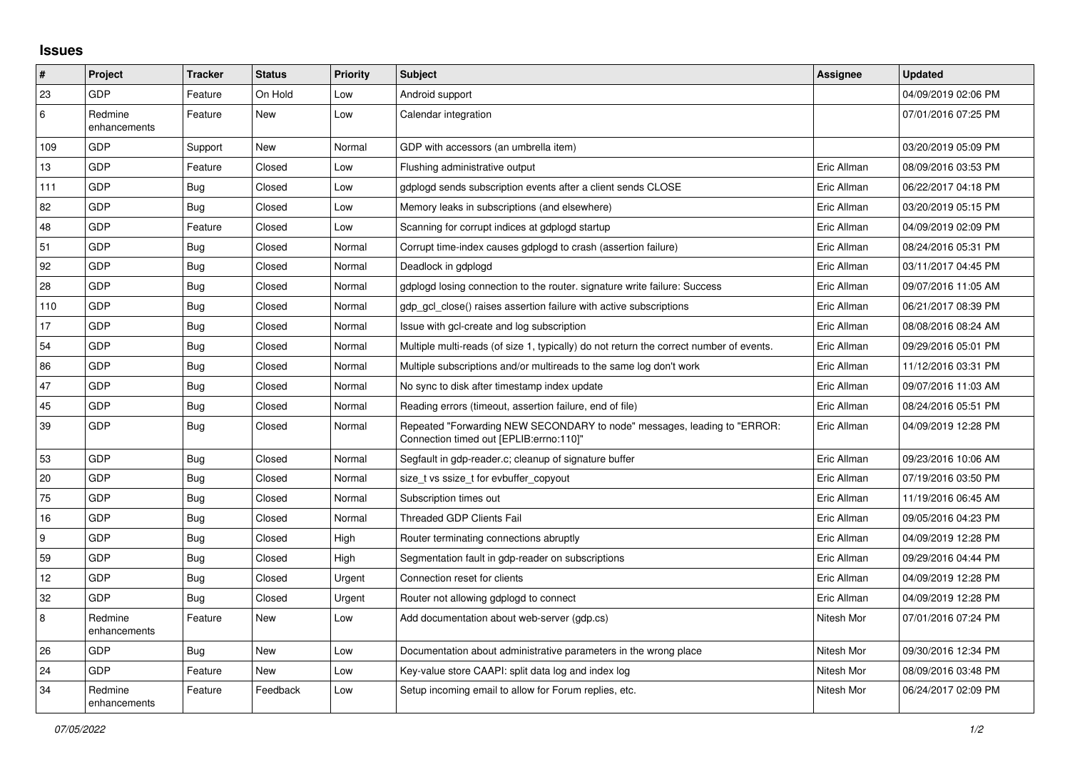## **Issues**

| $\vert$ #        | Project                 | <b>Tracker</b> | <b>Status</b> | <b>Priority</b> | <b>Subject</b>                                                                                                      | Assignee    | <b>Updated</b>      |
|------------------|-------------------------|----------------|---------------|-----------------|---------------------------------------------------------------------------------------------------------------------|-------------|---------------------|
| 23               | GDP                     | Feature        | On Hold       | Low             | Android support                                                                                                     |             | 04/09/2019 02:06 PM |
| 6                | Redmine<br>enhancements | Feature        | <b>New</b>    | Low             | Calendar integration                                                                                                |             | 07/01/2016 07:25 PM |
| 109              | GDP                     | Support        | <b>New</b>    | Normal          | GDP with accessors (an umbrella item)                                                                               |             | 03/20/2019 05:09 PM |
| 13               | GDP                     | Feature        | Closed        | Low             | Flushing administrative output                                                                                      | Eric Allman | 08/09/2016 03:53 PM |
| 111              | GDP                     | Bug            | Closed        | Low             | gdplogd sends subscription events after a client sends CLOSE                                                        | Eric Allman | 06/22/2017 04:18 PM |
| 82               | <b>GDP</b>              | <b>Bug</b>     | Closed        | Low             | Memory leaks in subscriptions (and elsewhere)                                                                       | Eric Allman | 03/20/2019 05:15 PM |
| 48               | GDP                     | Feature        | Closed        | Low             | Scanning for corrupt indices at gdplogd startup                                                                     | Eric Allman | 04/09/2019 02:09 PM |
| 51               | GDP                     | Bug            | Closed        | Normal          | Corrupt time-index causes gdplogd to crash (assertion failure)                                                      | Eric Allman | 08/24/2016 05:31 PM |
| 92               | GDP                     | <b>Bug</b>     | Closed        | Normal          | Deadlock in gdplogd                                                                                                 | Eric Allman | 03/11/2017 04:45 PM |
| 28               | GDP                     | <b>Bug</b>     | Closed        | Normal          | adpload losing connection to the router, signature write failure: Success                                           | Eric Allman | 09/07/2016 11:05 AM |
| 110              | GDP                     | <b>Bug</b>     | Closed        | Normal          | adp acl close() raises assertion failure with active subscriptions                                                  | Eric Allman | 06/21/2017 08:39 PM |
| 17               | <b>GDP</b>              | <b>Bug</b>     | Closed        | Normal          | Issue with gcl-create and log subscription                                                                          | Eric Allman | 08/08/2016 08:24 AM |
| 54               | GDP                     | <b>Bug</b>     | Closed        | Normal          | Multiple multi-reads (of size 1, typically) do not return the correct number of events.                             | Eric Allman | 09/29/2016 05:01 PM |
| 86               | GDP                     | Bug            | Closed        | Normal          | Multiple subscriptions and/or multireads to the same log don't work                                                 | Eric Allman | 11/12/2016 03:31 PM |
| 47               | <b>GDP</b>              | <b>Bug</b>     | Closed        | Normal          | No sync to disk after timestamp index update                                                                        | Eric Allman | 09/07/2016 11:03 AM |
| 45               | GDP                     | Bug            | Closed        | Normal          | Reading errors (timeout, assertion failure, end of file)                                                            | Eric Allman | 08/24/2016 05:51 PM |
| 39               | GDP                     | <b>Bug</b>     | Closed        | Normal          | Repeated "Forwarding NEW SECONDARY to node" messages, leading to "ERROR:<br>Connection timed out [EPLIB:errno:110]" | Eric Allman | 04/09/2019 12:28 PM |
| 53               | GDP                     | Bug            | Closed        | Normal          | Segfault in gdp-reader.c; cleanup of signature buffer                                                               | Eric Allman | 09/23/2016 10:06 AM |
| 20               | GDP                     | <b>Bug</b>     | Closed        | Normal          | size_t vs ssize_t for evbuffer_copyout                                                                              | Eric Allman | 07/19/2016 03:50 PM |
| 75               | <b>GDP</b>              | <b>Bug</b>     | Closed        | Normal          | Subscription times out                                                                                              | Eric Allman | 11/19/2016 06:45 AM |
| 16               | GDP                     | <b>Bug</b>     | Closed        | Normal          | <b>Threaded GDP Clients Fail</b>                                                                                    | Eric Allman | 09/05/2016 04:23 PM |
| $\boldsymbol{9}$ | GDP                     | <b>Bug</b>     | Closed        | High            | Router terminating connections abruptly                                                                             | Eric Allman | 04/09/2019 12:28 PM |
| 59               | GDP                     | Bug            | Closed        | High            | Segmentation fault in gdp-reader on subscriptions                                                                   | Eric Allman | 09/29/2016 04:44 PM |
| 12               | <b>GDP</b>              | Bug            | Closed        | Urgent          | Connection reset for clients                                                                                        | Eric Allman | 04/09/2019 12:28 PM |
| 32               | <b>GDP</b>              | Bug            | Closed        | Urgent          | Router not allowing gdplogd to connect                                                                              | Eric Allman | 04/09/2019 12:28 PM |
| $\bf 8$          | Redmine<br>enhancements | Feature        | New           | Low             | Add documentation about web-server (gdp.cs)                                                                         | Nitesh Mor  | 07/01/2016 07:24 PM |
| 26               | GDP                     | <b>Bug</b>     | <b>New</b>    | Low             | Documentation about administrative parameters in the wrong place                                                    | Nitesh Mor  | 09/30/2016 12:34 PM |
| 24               | <b>GDP</b>              | Feature        | New           | Low             | Key-value store CAAPI: split data log and index log                                                                 | Nitesh Mor  | 08/09/2016 03:48 PM |
| 34               | Redmine<br>enhancements | Feature        | Feedback      | Low             | Setup incoming email to allow for Forum replies, etc.                                                               | Nitesh Mor  | 06/24/2017 02:09 PM |